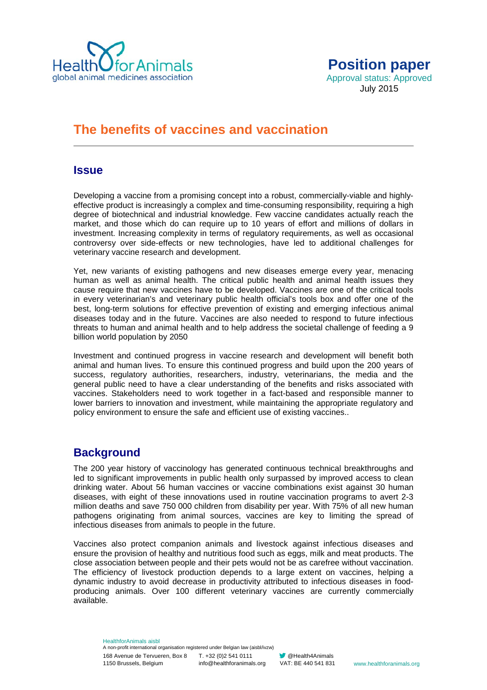



# **The benefits of vaccines and vaccination**

### **Issue**

Developing a vaccine from a promising concept into a robust, commercially-viable and highlyeffective product is increasingly a complex and time-consuming responsibility, requiring a high degree of biotechnical and industrial knowledge. Few vaccine candidates actually reach the market, and those which do can require up to 10 years of effort and millions of dollars in investment. Increasing complexity in terms of regulatory requirements, as well as occasional controversy over side-effects or new technologies, have led to additional challenges for veterinary vaccine research and development.

Yet, new variants of existing pathogens and new diseases emerge every year, menacing human as well as animal health. The critical public health and animal health issues they cause require that new vaccines have to be developed. Vaccines are one of the critical tools in every veterinarian's and veterinary public health official's tools box and offer one of the best, long-term solutions for effective prevention of existing and emerging infectious animal diseases today and in the future. Vaccines are also needed to respond to future infectious threats to human and animal health and to help address the societal challenge of feeding a 9 billion world population by 2050

Investment and continued progress in vaccine research and development will benefit both animal and human lives. To ensure this continued progress and build upon the 200 years of success, regulatory authorities, researchers, industry, veterinarians, the media and the general public need to have a clear understanding of the benefits and risks associated with vaccines. Stakeholders need to work together in a fact-based and responsible manner to lower barriers to innovation and investment, while maintaining the appropriate regulatory and policy environment to ensure the safe and efficient use of existing vaccines..

## **Background**

The 200 year history of vaccinology has generated continuous technical breakthroughs and led to significant improvements in public health only surpassed by improved access to clean drinking water. About 56 human vaccines or vaccine combinations exist against 30 human diseases, with eight of these innovations used in routine vaccination programs to avert 2-3 million deaths and save 750 000 children from disability per year. With 75% of all new human pathogens originating from animal sources, vaccines are key to limiting the spread of infectious diseases from animals to people in the future.

Vaccines also protect companion animals and livestock against infectious diseases and ensure the provision of healthy and nutritious food such as eggs, milk and meat products. The close association between people and their pets would not be as carefree without vaccination. The efficiency of livestock production depends to a large extent on vaccines, helping a dynamic industry to avoid decrease in productivity attributed to infectious diseases in foodproducing animals. Over 100 different veterinary vaccines are currently commercially available.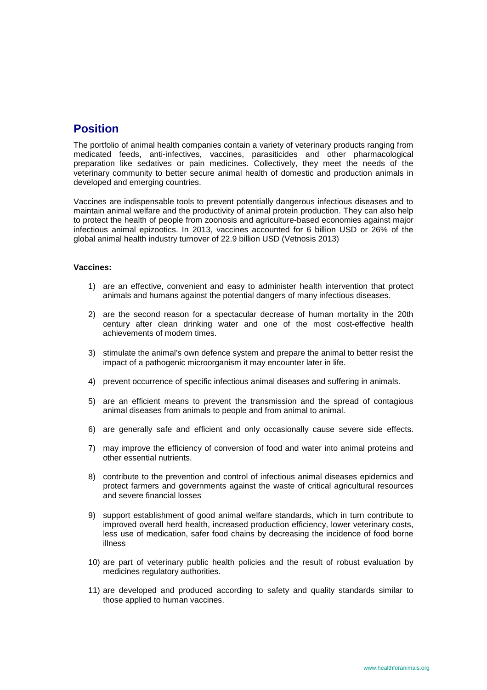## **Position**

The portfolio of animal health companies contain a variety of veterinary products ranging from medicated feeds, anti-infectives, vaccines, parasiticides and other pharmacological preparation like sedatives or pain medicines. Collectively, they meet the needs of the veterinary community to better secure animal health of domestic and production animals in developed and emerging countries.

Vaccines are indispensable tools to prevent potentially dangerous infectious diseases and to maintain animal welfare and the productivity of animal protein production. They can also help to protect the health of people from zoonosis and agriculture-based economies against major infectious animal epizootics. In 2013, vaccines accounted for 6 billion USD or 26% of the global animal health industry turnover of 22.9 billion USD (Vetnosis 2013)

#### **Vaccines:**

- 1) are an effective, convenient and easy to administer health intervention that protect animals and humans against the potential dangers of many infectious diseases.
- 2) are the second reason for a spectacular decrease of human mortality in the 20th century after clean drinking water and one of the most cost-effective health achievements of modern times.
- 3) stimulate the animal's own defence system and prepare the animal to better resist the impact of a pathogenic microorganism it may encounter later in life.
- 4) prevent occurrence of specific infectious animal diseases and suffering in animals.
- 5) are an efficient means to prevent the transmission and the spread of contagious animal diseases from animals to people and from animal to animal.
- 6) are generally safe and efficient and only occasionally cause severe side effects.
- 7) may improve the efficiency of conversion of food and water into animal proteins and other essential nutrients.
- 8) contribute to the prevention and control of infectious animal diseases epidemics and protect farmers and governments against the waste of critical agricultural resources and severe financial losses
- 9) support establishment of good animal welfare standards, which in turn contribute to improved overall herd health, increased production efficiency, lower veterinary costs, less use of medication, safer food chains by decreasing the incidence of food borne illness
- 10) are part of veterinary public health policies and the result of robust evaluation by medicines regulatory authorities.
- 11) are developed and produced according to safety and quality standards similar to those applied to human vaccines.